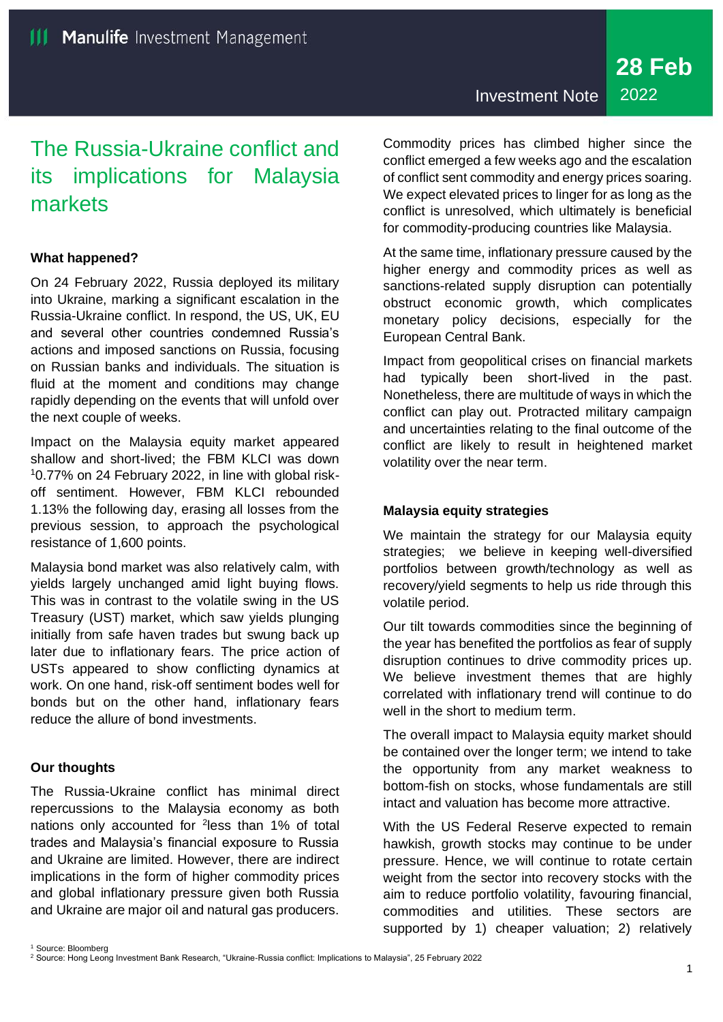# The Russia-Ukraine conflict and its implications for Malaysia markets

## **What happened?**

On 24 February 2022, Russia deployed its military into Ukraine, marking a significant escalation in the Russia-Ukraine conflict. In respond, the US, UK, EU and several other countries condemned Russia's actions and imposed sanctions on Russia, focusing on Russian banks and individuals. The situation is fluid at the moment and conditions may change rapidly depending on the events that will unfold over the next couple of weeks.

Impact on the Malaysia equity market appeared shallow and short-lived; the FBM KLCI was down 10.77% on 24 February 2022, in line with global riskoff sentiment. However, FBM KLCI rebounded 1.13% the following day, erasing all losses from the previous session, to approach the psychological resistance of 1,600 points.

Malaysia bond market was also relatively calm, with yields largely unchanged amid light buying flows. This was in contrast to the volatile swing in the US Treasury (UST) market, which saw yields plunging initially from safe haven trades but swung back up later due to inflationary fears. The price action of USTs appeared to show conflicting dynamics at work. On one hand, risk-off sentiment bodes well for bonds but on the other hand, inflationary fears reduce the allure of bond investments.

## **Our thoughts**

<sup>1</sup> Source: Bloomberg

The Russia-Ukraine conflict has minimal direct repercussions to the Malaysia economy as both nations only accounted for <sup>2</sup>less than 1% of total trades and Malaysia's financial exposure to Russia and Ukraine are limited. However, there are indirect implications in the form of higher commodity prices and global inflationary pressure given both Russia and Ukraine are major oil and natural gas producers.

Investment Note 2022

Commodity prices has climbed higher since the conflict emerged a few weeks ago and the escalation of conflict sent commodity and energy prices soaring. We expect elevated prices to linger for as long as the conflict is unresolved, which ultimately is beneficial for commodity-producing countries like Malaysia.

At the same time, inflationary pressure caused by the higher energy and commodity prices as well as sanctions-related supply disruption can potentially obstruct economic growth, which complicates monetary policy decisions, especially for the European Central Bank.

Impact from geopolitical crises on financial markets had typically been short-lived in the past. Nonetheless, there are multitude of ways in which the conflict can play out. Protracted military campaign and uncertainties relating to the final outcome of the conflict are likely to result in heightened market volatility over the near term.

## **Malaysia equity strategies**

We maintain the strategy for our Malaysia equity strategies; we believe in keeping well-diversified portfolios between growth/technology as well as recovery/yield segments to help us ride through this volatile period.

Our tilt towards commodities since the beginning of the year has benefited the portfolios as fear of supply disruption continues to drive commodity prices up. We believe investment themes that are highly correlated with inflationary trend will continue to do well in the short to medium term.

The overall impact to Malaysia equity market should be contained over the longer term; we intend to take the opportunity from any market weakness to bottom-fish on stocks, whose fundamentals are still intact and valuation has become more attractive.

With the US Federal Reserve expected to remain hawkish, growth stocks may continue to be under pressure. Hence, we will continue to rotate certain weight from the sector into recovery stocks with the aim to reduce portfolio volatility, favouring financial, commodities and utilities. These sectors are supported by 1) cheaper valuation; 2) relatively

<sup>2</sup> Source: Hong Leong Investment Bank Research, "Ukraine-Russia conflict: Implications to Malaysia", 25 February 2022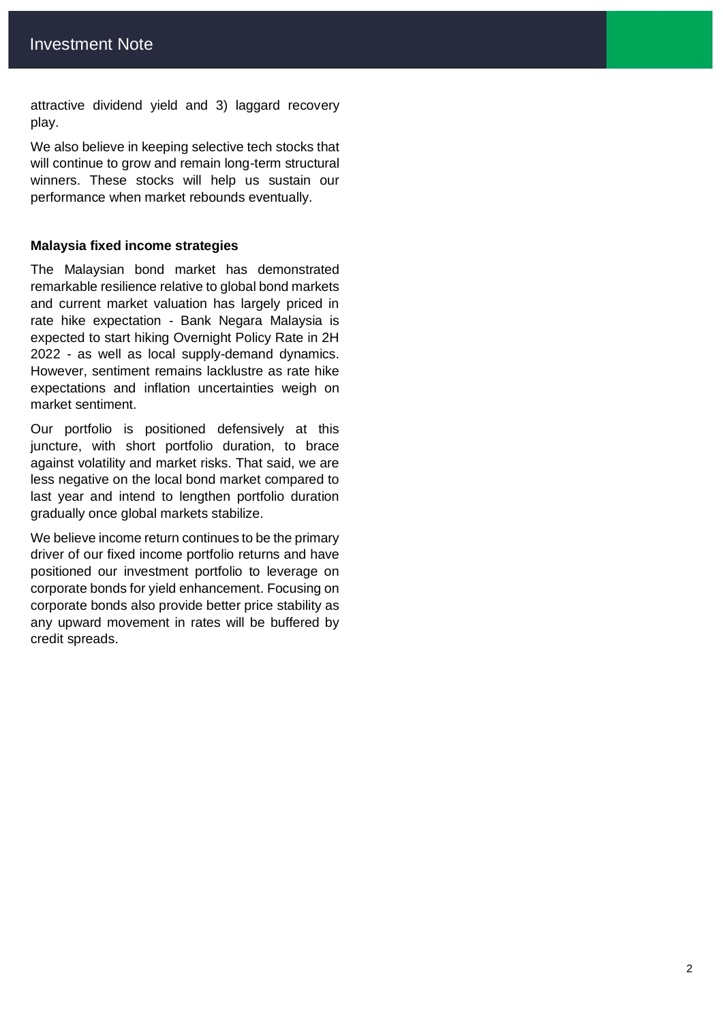attractive dividend yield and 3) laggard recovery play.

We also believe in keeping selective tech stocks that will continue to grow and remain long-term structural winners. These stocks will help us sustain our performance when market rebounds eventually.

#### **Malaysia fixed income strategies**

The Malaysian bond market has demonstrated remarkable resilience relative to global bond markets and current market valuation has largely priced in rate hike expectation - Bank Negara Malaysia is expected to start hiking Overnight Policy Rate in 2H 2022 - as well as local supply-demand dynamics. However, sentiment remains lacklustre as rate hike expectations and inflation uncertainties weigh on market sentiment.

Our portfolio is positioned defensively at this juncture, with short portfolio duration, to brace against volatility and market risks. That said, we are less negative on the local bond market compared to last year and intend to lengthen portfolio duration gradually once global markets stabilize.

We believe income return continues to be the primary driver of our fixed income portfolio returns and have positioned our investment portfolio to leverage on corporate bonds for yield enhancement. Focusing on corporate bonds also provide better price stability as any upward movement in rates will be buffered by credit spreads.